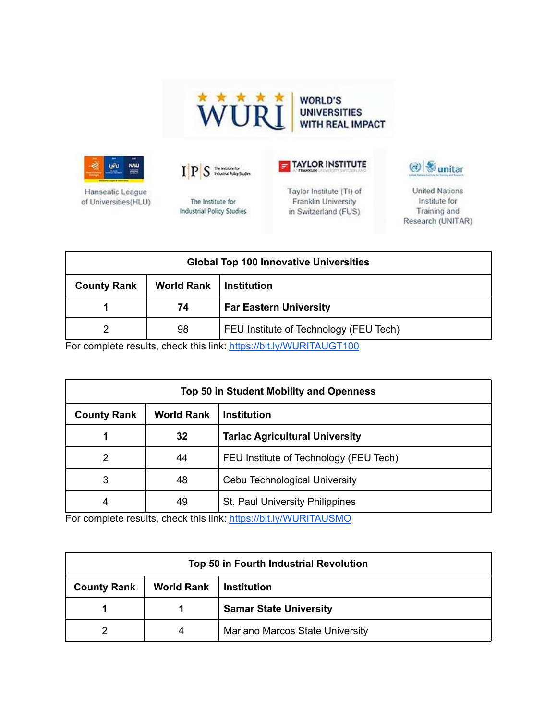



Hanseatic League of Universities(HLU)





The Institute for **Industrial Policy Studies**  Taylor Institute (TI) of Franklin University in Switzerland (FUS)



**United Nations** Institute for Training and Research (UNITAR)

| <b>Global Top 100 Innovative Universities</b> |                   |                                        |
|-----------------------------------------------|-------------------|----------------------------------------|
| <b>County Rank</b>                            | <b>World Rank</b> | <b>Institution</b>                     |
|                                               | 74                | <b>Far Eastern University</b>          |
|                                               | 98                | FEU Institute of Technology (FEU Tech) |

For complete results, check this link: <https://bit.ly/WURITAUGT100>

| <b>Top 50 in Student Mobility and Openness</b> |                   |                                        |
|------------------------------------------------|-------------------|----------------------------------------|
| <b>County Rank</b>                             | <b>World Rank</b> | <b>Institution</b>                     |
| 1                                              | 32                | <b>Tarlac Agricultural University</b>  |
| 2                                              | 44                | FEU Institute of Technology (FEU Tech) |
| 3                                              | 48                | Cebu Technological University          |
| 4                                              | 49                | <b>St. Paul University Philippines</b> |

For complete results, check this link: <https://bit.ly/WURITAUSMO>

| Top 50 in Fourth Industrial Revolution |                   |                                        |
|----------------------------------------|-------------------|----------------------------------------|
| <b>County Rank</b>                     | <b>World Rank</b> | <b>Institution</b>                     |
|                                        |                   | <b>Samar State University</b>          |
|                                        |                   | <b>Mariano Marcos State University</b> |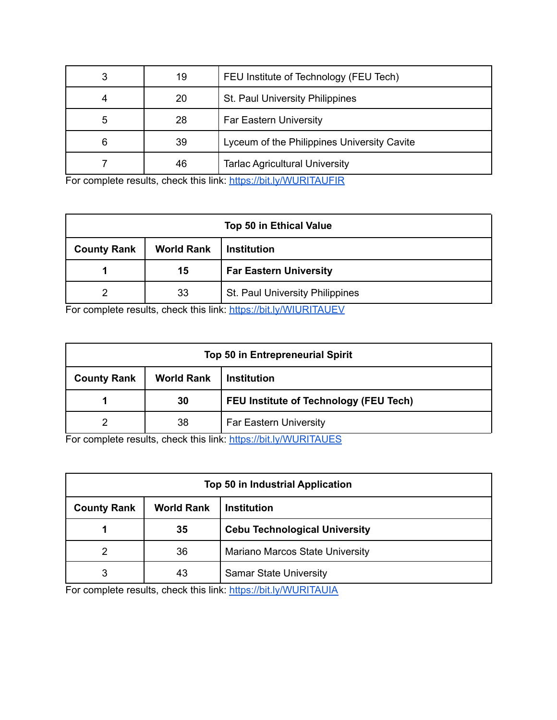| 3 | 19 | FEU Institute of Technology (FEU Tech)      |
|---|----|---------------------------------------------|
| 4 | 20 | St. Paul University Philippines             |
| 5 | 28 | <b>Far Eastern University</b>               |
| 6 | 39 | Lyceum of the Philippines University Cavite |
|   | 46 | <b>Tarlac Agricultural University</b>       |

For complete results, check this link: <https://bit.ly/WURITAUFIR>

| <b>Top 50 in Ethical Value</b> |                   |                                 |
|--------------------------------|-------------------|---------------------------------|
| <b>County Rank</b>             | <b>World Rank</b> | <b>Institution</b>              |
|                                | 15                | <b>Far Eastern University</b>   |
|                                | 33                | St. Paul University Philippines |

For complete results, check this link: <https://bit.ly/WIURITAUEV>

| <b>Top 50 in Entrepreneurial Spirit</b> |                   |                                               |
|-----------------------------------------|-------------------|-----------------------------------------------|
| <b>County Rank</b>                      | <b>World Rank</b> | <b>Institution</b>                            |
|                                         | 30                | <b>FEU Institute of Technology (FEU Tech)</b> |
|                                         | 38                | <b>Far Eastern University</b>                 |

For complete results, check this link: <https://bit.ly/WURITAUES>

| <b>Top 50 in Industrial Application</b> |                   |                                      |
|-----------------------------------------|-------------------|--------------------------------------|
| <b>County Rank</b>                      | <b>World Rank</b> | <b>Institution</b>                   |
|                                         | 35                | <b>Cebu Technological University</b> |
|                                         | 36                | Mariano Marcos State University      |
| 3                                       | 43                | <b>Samar State University</b>        |

For complete results, check this link: <https://bit.ly/WURITAUIA>